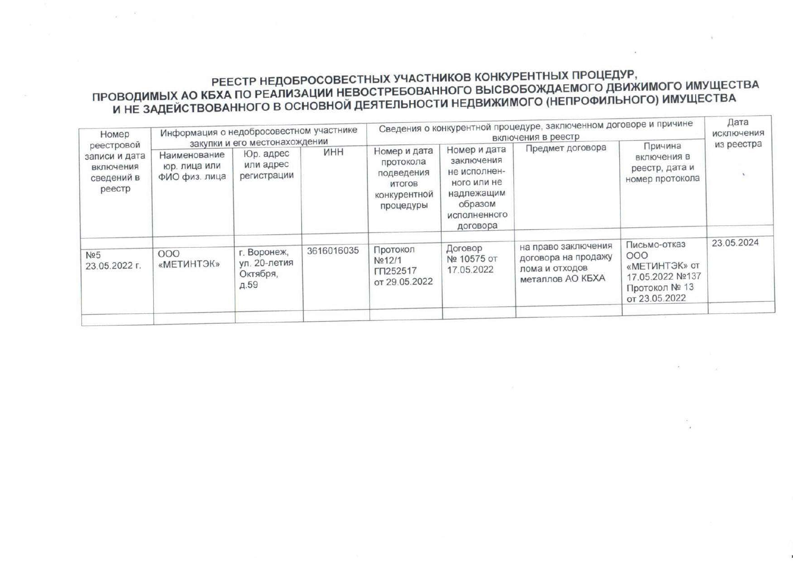# РЕЕСТР НЕДОБРОСОВЕСТНЫХ УЧАСТНИКОВ КОНКУРЕНТНЫХ ПРОЦЕДУР, ПРОВОДИМЫХ АО КБХА ПО РЕАЛИЗАЦИИ НЕВОСТРЕБОВАННОГО ВЫСВОБОЖДАЕМОГО ДВИЖИМОГО ИМУЩЕСТВА<br>И НЕ ЗАДЕЙСТВОВАННОГО В ОСНОВНОЙ ДЕЯТЕЛЬНОСТИ НЕДВИЖИМОГО (НЕПРОФИЛЬНОГО) ИМУЩЕСТВА

| Номер<br>реестровой<br>записи и дата<br>включения<br>сведений в<br>реестр | Информация о недобросовестном участнике<br>закупки и его местонахождении |                                                 |            | Сведения о конкурентной процедуре, заключенном договоре и причине<br>включения в реестр |                                                                                                                |                                                                                  |                                                                                           | Дата<br>исключения<br>из реестра |
|---------------------------------------------------------------------------|--------------------------------------------------------------------------|-------------------------------------------------|------------|-----------------------------------------------------------------------------------------|----------------------------------------------------------------------------------------------------------------|----------------------------------------------------------------------------------|-------------------------------------------------------------------------------------------|----------------------------------|
|                                                                           | Наименование<br>юр, лица или<br>ФИО физ. лица                            | Юр. адрес<br>или адрес<br>регистрации           | <b>NHH</b> | Номер и дата<br>протокола<br>подведения<br>итогов<br>конкурентной<br>процедуры          | Номер и дата<br>заключения<br>не исполнен-<br>ного или не<br>надлежащим<br>образом<br>исполненного<br>договора | Предмет договора                                                                 | Причина<br>включения в<br>реестр, дата и<br>номер протокола                               |                                  |
| Nº5<br>23.05.2022 г.                                                      | 000<br>«METWHTЭК»                                                        | г. Воронеж,<br>ул. 20-летия<br>Октября,<br>д.59 | 3616016035 | Протокол<br>Nº12/1<br>ГП252517<br>от 29.05.2022                                         | Договор<br>№ 10575 от<br>17.05.2022                                                                            | на право заключения<br>договора на продажу<br>лома и отходов<br>металлов АО КБХА | Письмо-отказ<br>000<br>«МЕТИНТЭК» от<br>17.05.2022 №137<br>Протокол № 13<br>от 23.05.2022 | 23.05.2024                       |